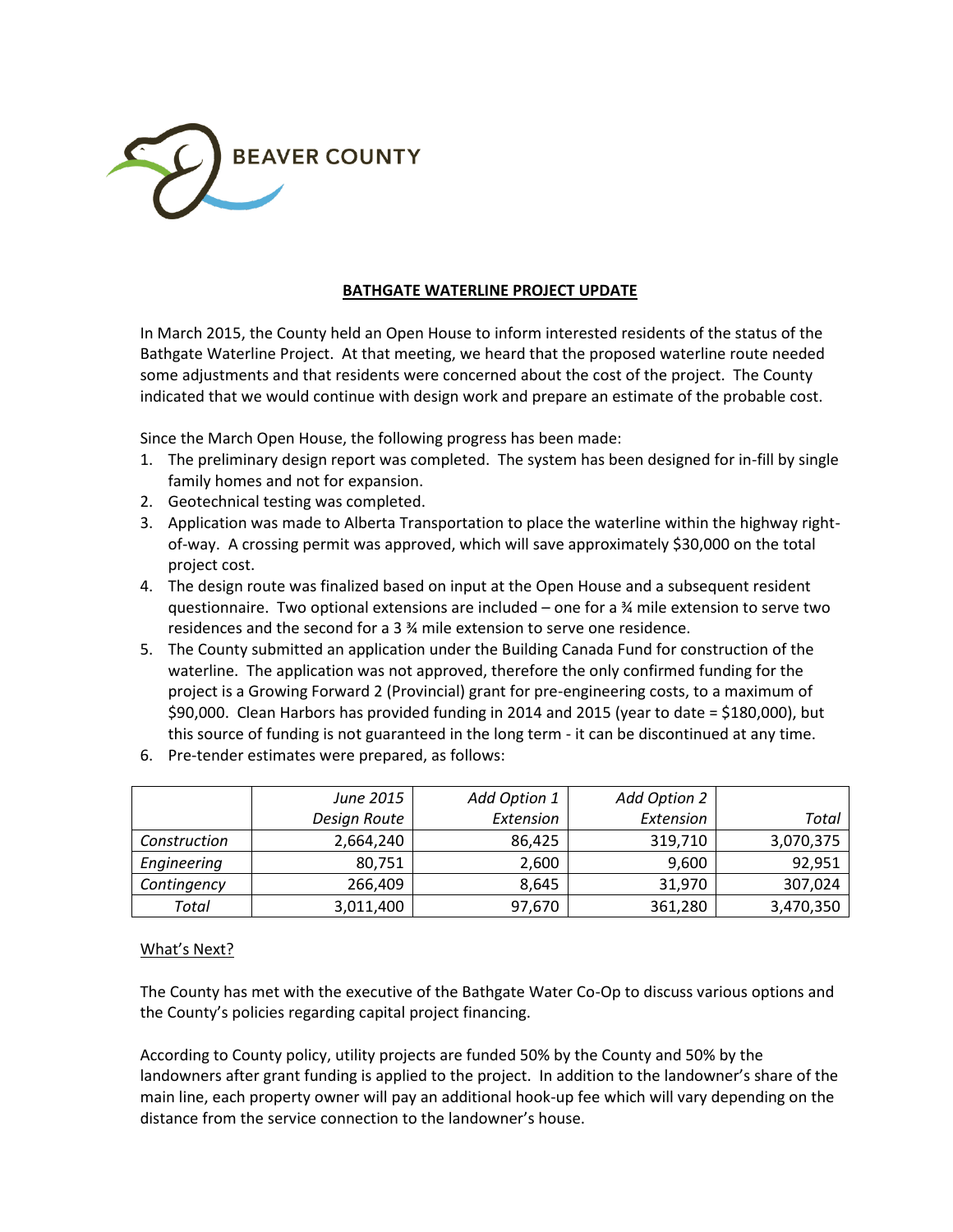

### **BATHGATE WATERLINE PROJECT UPDATE**

In March 2015, the County held an Open House to inform interested residents of the status of the Bathgate Waterline Project. At that meeting, we heard that the proposed waterline route needed some adjustments and that residents were concerned about the cost of the project. The County indicated that we would continue with design work and prepare an estimate of the probable cost.

Since the March Open House, the following progress has been made:

- 1. The preliminary design report was completed. The system has been designed for in-fill by single family homes and not for expansion.
- 2. Geotechnical testing was completed.
- 3. Application was made to Alberta Transportation to place the waterline within the highway rightof-way. A crossing permit was approved, which will save approximately \$30,000 on the total project cost.
- 4. The design route was finalized based on input at the Open House and a subsequent resident questionnaire. Two optional extensions are included – one for a ¾ mile extension to serve two residences and the second for a 3 ¾ mile extension to serve one residence.
- 5. The County submitted an application under the Building Canada Fund for construction of the waterline. The application was not approved, therefore the only confirmed funding for the project is a Growing Forward 2 (Provincial) grant for pre-engineering costs, to a maximum of \$90,000. Clean Harbors has provided funding in 2014 and 2015 (year to date = \$180,000), but this source of funding is not guaranteed in the long term - it can be discontinued at any time.
- 6. Pre-tender estimates were prepared, as follows:

|              | June 2015    | Add Option 1 | Add Option 2 |           |
|--------------|--------------|--------------|--------------|-----------|
|              | Design Route | Extension    | Extension    | Total     |
| Construction | 2,664,240    | 86,425       | 319,710      | 3,070,375 |
| Engineering  | 80,751       | 2,600        | 9,600        | 92,951    |
| Contingency  | 266,409      | 8,645        | 31,970       | 307,024   |
| Total        | 3,011,400    | 97,670       | 361,280      | 3,470,350 |

#### What's Next?

The County has met with the executive of the Bathgate Water Co-Op to discuss various options and the County's policies regarding capital project financing.

According to County policy, utility projects are funded 50% by the County and 50% by the landowners after grant funding is applied to the project. In addition to the landowner's share of the main line, each property owner will pay an additional hook-up fee which will vary depending on the distance from the service connection to the landowner's house.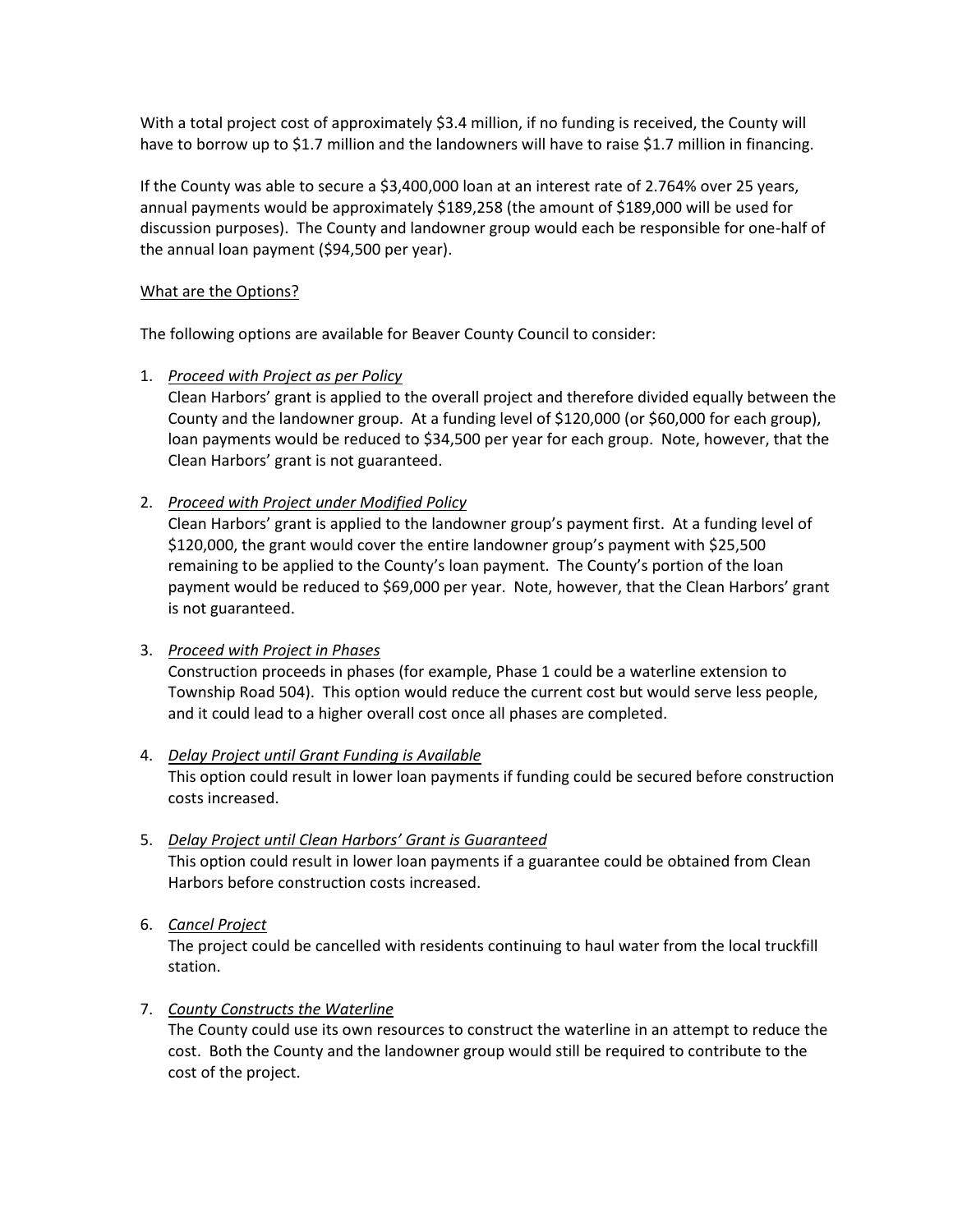With a total project cost of approximately \$3.4 million, if no funding is received, the County will have to borrow up to \$1.7 million and the landowners will have to raise \$1.7 million in financing.

If the County was able to secure a \$3,400,000 loan at an interest rate of 2.764% over 25 years, annual payments would be approximately \$189,258 (the amount of \$189,000 will be used for discussion purposes). The County and landowner group would each be responsible for one-half of the annual loan payment (\$94,500 per year).

### What are the Options?

The following options are available for Beaver County Council to consider:

### 1. *Proceed with Project as per Policy*

Clean Harbors' grant is applied to the overall project and therefore divided equally between the County and the landowner group. At a funding level of \$120,000 (or \$60,000 for each group), loan payments would be reduced to \$34,500 per year for each group. Note, however, that the Clean Harbors' grant is not guaranteed.

### 2. *Proceed with Project under Modified Policy*

Clean Harbors' grant is applied to the landowner group's payment first. At a funding level of \$120,000, the grant would cover the entire landowner group's payment with \$25,500 remaining to be applied to the County's loan payment. The County's portion of the loan payment would be reduced to \$69,000 per year. Note, however, that the Clean Harbors' grant is not guaranteed.

### 3. *Proceed with Project in Phases*

Construction proceeds in phases (for example, Phase 1 could be a waterline extension to Township Road 504). This option would reduce the current cost but would serve less people, and it could lead to a higher overall cost once all phases are completed.

# 4. *Delay Project until Grant Funding is Available*

This option could result in lower loan payments if funding could be secured before construction costs increased.

5. *Delay Project until Clean Harbors' Grant is Guaranteed* This option could result in lower loan payments if a guarantee could be obtained from Clean Harbors before construction costs increased.

## 6. *Cancel Project*

The project could be cancelled with residents continuing to haul water from the local truckfill station.

## 7. *County Constructs the Waterline*

The County could use its own resources to construct the waterline in an attempt to reduce the cost. Both the County and the landowner group would still be required to contribute to the cost of the project.